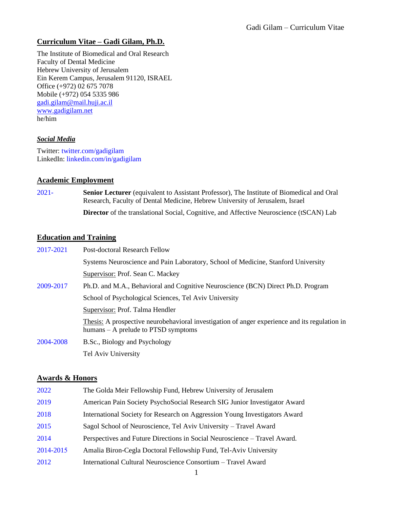## **Curriculum Vitae – Gadi Gilam, Ph.D.**

The Institute of Biomedical and Oral Research Faculty of Dental Medicine Hebrew University of Jerusalem Ein Kerem Campus, Jerusalem 91120, ISRAEL Office (+972) 02 675 7078 Mobile (+972) 054 5335 986 [gadi.gilam@mail.huji.ac.il](mailto:gadi.gilam@mail.huji.ac.il) [www.gadigilam.net](http://www.gadigilam.net/) he/him

### *Social Media*

Twitter: [twitter.com/gadigilam](http://twitter.com/gadigilam) LinkedIn: linkedin.com/in/gadigilam

### **Academic Employment**

2021- **Senior Lecturer** (equivalent to Assistant Professor), The Institute of Biomedical and Oral Research, Faculty of Dental Medicine, Hebrew University of Jerusalem, Israel

**Director** of the translational Social, Cognitive, and Affective Neuroscience (tSCAN) Lab

### **Education and Training**

| 2017-2021 | Post-doctoral Research Fellow                                                                                                          |  |
|-----------|----------------------------------------------------------------------------------------------------------------------------------------|--|
|           | Systems Neuroscience and Pain Laboratory, School of Medicine, Stanford University                                                      |  |
|           | Supervisor: Prof. Sean C. Mackey                                                                                                       |  |
| 2009-2017 | Ph.D. and M.A., Behavioral and Cognitive Neuroscience (BCN) Direct Ph.D. Program                                                       |  |
|           | School of Psychological Sciences, Tel Aviv University                                                                                  |  |
|           | Supervisor: Prof. Talma Hendler                                                                                                        |  |
|           | Thesis: A prospective neurobehavioral investigation of anger experience and its regulation in<br>humans $-$ A prelude to PTSD symptoms |  |
| 2004-2008 | B.Sc., Biology and Psychology                                                                                                          |  |
|           | Tel Aviv University                                                                                                                    |  |

#### **Awards & Honors**

| 2022      | The Golda Meir Fellowship Fund, Hebrew University of Jerusalem             |
|-----------|----------------------------------------------------------------------------|
| 2019      | American Pain Society PsychoSocial Research SIG Junior Investigator Award  |
| 2018      | International Society for Research on Aggression Young Investigators Award |
| 2015      | Sagol School of Neuroscience, Tel Aviv University - Travel Award           |
| 2014      | Perspectives and Future Directions in Social Neuroscience – Travel Award.  |
| 2014-2015 | Amalia Biron-Cegla Doctoral Fellowship Fund, Tel-Aviv University           |
| 2012      | International Cultural Neuroscience Consortium - Travel Award              |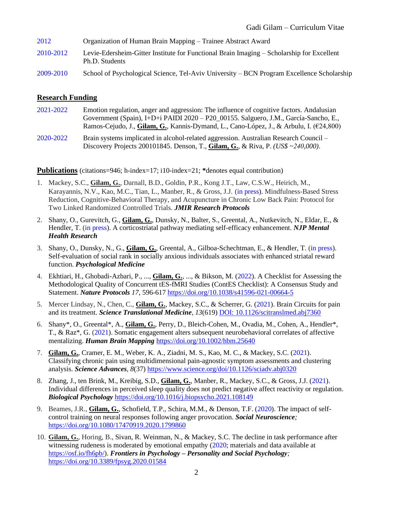- 2012 Organization of Human Brain Mapping Trainee Abstract Award
- 2010-2012 Levie-Edersheim-Gitter Institute for Functional Brain Imaging Scholarship for Excellent Ph.D. Students
- 2009-2010 School of Psychological Science, Tel-Aviv University BCN Program Excellence Scholarship

### **Research Funding**

- 2021-2022 Emotion regulation, anger and aggression: The influence of cognitive factors. Andalusian Government (Spain), I+D+i PAIDI 2020 – P20\_00155. Salguero, J.M., García-Sancho, E., Ramos-Cejudo, J., **Gilam, G.**, Kannis-Dymand, L., Cano-López, J., & Arbulu, I. (€24,800)
- 2020-2022 Brain systems implicated in alcohol-related aggression. Australian Research Council Discovery Projects 200101845. Denson, T., **Gilam, G.**, & Riva, P. *(US\$ ~240,000)*.

**Publications** (citations=946; h-index=17; i10-index=21; **\***denotes equal contribution)

- 1. Mackey, S.C., **Gilam, G.**, Darnall, B.D., Goldin, P.R., Kong J.T., Law, C.S.W., Heirich, M., Karayannis, N.V., Kao, M.C., Tian, L., Manber, R., & Gross, J.J. (in press). Mindfulness-Based Stress Reduction, Cognitive-Behavioral Therapy, and Acupuncture in Chronic Low Back Pain: Protocol for Two Linked Randomized Controlled Trials. *JMIR Research Protocols*
- 2. Shany, O., Gurevitch, G., **Gilam, G.**, Dunsky, N., Balter, S., Greental, A., Nutkevitch, N., Eldar, E., & Hendler, T. (in press). A corticostriatal pathway mediating self-efficacy enhancement. *NJP Mental Health Research*
- 3. Shany, O., Dunsky, N., G., **Gilam, G.**, Greental, A., Gilboa-Schechtman, E., & Hendler, T. (in press). Self-evaluation of social rank in socially anxious individuals associates with enhanced striatal reward function. *Psychological Medicine*
- 4. Ekhtiari, H., Ghobadi-Azbari, P., ..., **Gilam, G.**, ..., & Bikson, M. (2022). A Checklist for Assessing the Methodological Quality of Concurrent tES-fMRI Studies (ContES Checklist): A Consensus Study and Statement. *Nature Protocols 17*, 596-617<https://doi.org/10.1038/s41596-021-00664-5>
- 5. Mercer Lindsay, N., Chen, C., **Gilam, G.**, Mackey, S.C., & Scherrer, G. (2021). Brain Circuits for pain and its treatment. *Science Translational Medicine, 13*(619) DOI: [10.1126/scitranslmed.abj7360](https://doi-org.laneproxy.stanford.edu/10.1126/scitranslmed.abj7360)
- 6. Shany\*, O., Greental\*, A., **Gilam, G.**, Perry, D., Bleich-Cohen, M., Ovadia, M., Cohen, A., Hendler\*, T., & Raz\*, G. (2021). Somatic engagement alters subsequent neurobehavioral correlates of affective mentalizing. *Human Brain Mapping* <https://doi.org/10.1002/hbm.25640>
- 7. **Gilam, G.**, Cramer, E. M., Weber, K. A., Ziadni, M. S., Kao, M. C., & Mackey, S.C. (2021). Classifying chronic pain using multidimensional pain-agnostic symptom assessments and clustering analysis. *Science Advances, 8*(37) https://www.science.org/doi/10.1126/sciadv.abj0320
- 8. Zhang, J., ten Brink, M., Kreibig, S.D., **Gilam, G.**, Manber, R., Mackey, S.C., & Gross, J.J. (2021). Individual differences in perceived sleep quality does not predict negative affect reactivity or regulation. *Biological Psychology* <https://doi.org/10.1016/j.biopsycho.2021.108149>
- 9. Beames, J.R., **Gilam, G.**, Schofield, T.P., Schira, M.M., & Denson, T.F. (2020). The impact of selfcontrol training on neural responses following anger provocation. *Social Neuroscience;* <https://doi.org/10.1080/17470919.2020.1799860>
- 10. **Gilam, G.**, Horing, B., Sivan, R. Weinman, N., & Mackey, S.C. The decline in task performance after witnessing rudeness is moderated by emotional empathy (2020; materials and data available at [https://osf.io/fh6pb/\)](https://osf.io/fh6pb/). *Frontiers in Psychology – Personality and Social Psychology;* <https://doi.org/10.3389/fpsyg.2020.01584>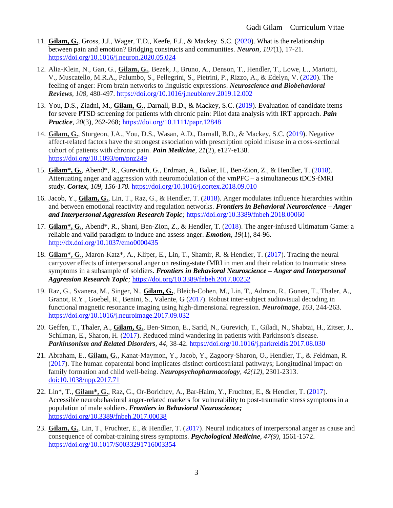- 11. **Gilam, G.**, Gross, J.J., Wager, T.D., Keefe, F.J., & Mackey. S.C. (2020). What is the relationship between pain and emotion? Bridging constructs and communities. *Neuron, 107*(1), 17-21*.* <https://doi.org/10.1016/j.neuron.2020.05.024>
- 12. Alia-Klein, N., Gan, G., **Gilam, G.**, Bezek, J., Bruno, A., Denson, T., Hendler, T., Lowe, L., Mariotti, V., Muscatello, M.R.A., Palumbo, S., Pellegrini, S., Pietrini, P., Rizzo, A., & Edelyn, V. (2020). The feeling of anger: From brain networks to linguistic expressions. *Neuroscience and Biobehavioral Reviews, 108,* 480-497. <https://doi.org/10.1016/j.neubiorev.2019.12.002>
- 13. You, D.S., Ziadni, M., **Gilam, G.**, Darnall, B.D., & Mackey, S.C. (2019). Evaluation of candidate items for severe PTSD screening for patients with chronic pain: Pilot data analysis with IRT approach. *Pain Practice, 20*(3), 262-268*;* <https://doi.org/10.1111/papr.12848>
- 14. **Gilam, G.**, Sturgeon, J.A., You, D.S., Wasan, A.D., Darnall, B.D., & Mackey, S.C. (2019). Negative affect-related factors have the strongest association with prescription opioid misuse in a cross-sectional cohort of patients with chronic pain. *Pain Medicine, 21*(2), e127-e138. <https://doi.org/10.1093/pm/pnz249>
- 15. **Gilam\*, G.**, Abend\*, R., Gurevitch, G., Erdman, A., Baker, H., Ben-Zion, Z., & Hendler, T. (2018). Attenuating anger and aggression with neuromodulation of the vmPFC – a simultaneous tDCS-fMRI study. *Cortex, 109, 156-170.* <https://doi.org/10.1016/j.cortex.2018.09.010>
- 16. Jacob, Y., **Gilam, G.**, Lin, T., Raz, G., & Hendler, T. (2018). Anger modulates influence hierarchies within and between emotional reactivity and regulation networks. *Frontiers in Behavioral Neuroscience – Anger and Interpersonal Aggression Research Topic;* <https://doi.org/10.3389/fnbeh.2018.00060>
- 17. **Gilam\*, G.**, Abend\*, R., Shani, Ben-Zion, Z., & Hendler, T. (2018). The anger-infused Ultimatum Game: a reliable and valid paradigm to induce and assess anger. *Emotion, 19*(1), 84-96. http://dx.doi.org/10.1037/emo0000435
- 18. **Gilam\*, G.**, Maron-Katz\*, A., Kliper, E., Lin, T., Shamir, R. & Hendler, T. (2017). Tracing the neural carryover effects of interpersonal anger on resting-state fMRI in men and their relation to traumatic stress symptoms in a subsample of soldiers. *Frontiers in Behavioral Neuroscience – Anger and Interpersonal Aggression Research Topic;* <https://doi.org/10.3389/fnbeh.2017.00252>
- 19. Raz, G., Svanera, M., Singer, N., **Gilam, G.**, Bleich-Cohen, M., Lin, T., Admon, R., Gonen, T., Thaler, A., Granot, R.Y., Goebel, R., Benini, S., Valente, G (2017). Robust inter-subject audiovisual decoding in functional magnetic resonance imaging using high-dimensional regression. *Neuroimage, 163,* 244-263. <https://doi.org/10.1016/j.neuroimage.2017.09.032>
- 20. Geffen, T., Thaler, A., **Gilam, G.**, Ben-Simon, E., Sarid, N., Gurevich, T., Giladi, N., Shabtai, H., Zitser, J., Schilman, E., Sharon, H. (2017). Reduced mind wandering in patients with Parkinson's disease. *Parkinsonism and Related Disorders, 44,* 38-42. <https://doi.org/10.1016/j.parkreldis.2017.08.030>
- 21. Abraham, E., **Gilam, G.**, Kanat-Maymon, Y., Jacob, Y., Zagoory-Sharon, O., Hendler, T., & Feldman, R. (2017). The human coparental bond implicates distinct corticostriatal pathways; Longitudinal impact on family formation and child well-being. *Neuropsychopharmacology, 42(12)*, 2301-2313. doi:10.1038/npp.2017.71
- 22. Lin\*, T., **Gilam\*, G.**, Raz, G., Or-Borichev, A., Bar-Haim, Y., Fruchter, E., & Hendler, T. (2017). Accessible neurobehavioral anger-related markers for vulnerability to post-traumatic stress symptoms in a population of male soldiers. *Frontiers in Behavioral Neuroscience;* <https://doi.org/10.3389/fnbeh.2017.00038>
- 23. **Gilam, G.**, Lin, T., Fruchter, E., & Hendler, T. (2017). Neural indicators of interpersonal anger as cause and consequence of combat-training stress symptoms. *Psychological Medicine, 47(9)*, 1561-1572. <https://doi.org/10.1017/S0033291716003354>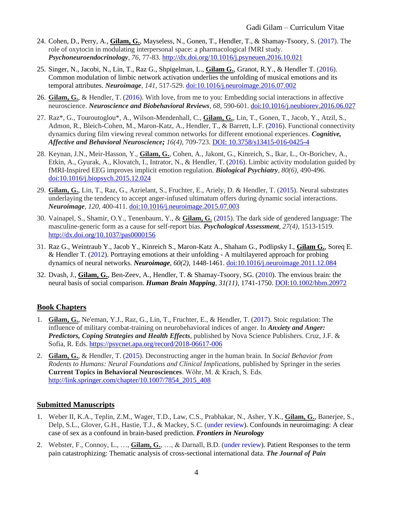- 24. Cohen, D., Perry, A., **Gilam, G.**, Mayseless, N., Gonen, T., Hendler, T., & Shamay-Tsoory, S. (2017). The role of oxytocin in modulating interpersonal space: a pharmacological fMRI study. *Psychoneuroendocrinology, 76,* 77-83.<http://dx.doi.org/10.1016/j.psyneuen.2016.10.021>
- 25. Singer, N., Jacobi, N., Lin, T., Raz G., Shpigelman, L., **Gilam G.**, Granot, R.Y., & Hendler T. (2016). Common modulation of limbic network activation underlies the unfolding of musical emotions and its temporal attributes. *Neuroimage, 141,* 517-529. [doi:10.1016/j.neuroimage.2016.07.002](http://dx.doi.org/10.1016/j.neuroimage.2016.07.002)
- 26. **Gilam, G.**, & Hendler, T. (2016). With love, from me to you: Embedding social interactions in affective neuroscience. *Neuroscience and Biobehavioral Reviews, 68,* 590-601[. doi:10.1016/j.neubiorev.2016.06.027](http://dx.doi.org/10.1016/j.neubiorev.2016.06.027)
- 27. Raz\*, G., Touroutoglou\*, A., Wilson-Mendenhall, C., **Gilam, G.**, Lin, T., Gonen, T., Jacob, Y., Atzil, S., Admon, R., Bleich-Cohen, M., Maron-Katz, A., Hendler, T., & Barrett, L.F. (2016). Functional connectivity dynamics during film viewing reveal common networks for different emotional experiences. *Cognitive, Affective and Behavioral Neuroscience; 16(4),* 709-723. DOI: [10.3758/s13415-016-0425-4](http://link.springer.com/article/10.3758%2Fs13415-016-0425-4)
- 28. Keynan, J.N., Meir-Hasson, Y., **Gilam, G.**, Cohen, A., Jakont, G., Kinreich, S., Ikar, L., Or-Borichev, A., Etkin, A., Gyurak, A., Klovatch, I., Intrator, N., & Hendler, T. (2016). Limbic activity modulation guided by fMRI-Inspired EEG improves implicit emotion regulation. *Biological Psychiatry, 80(6),* 490-496. [doi:10.1016/j.biopsych.2015.12.024](http://dx.doi.org/10.1016/j.biopsych.2015.12.024)
- 29. **Gilam, G.**, Lin, T., Raz, G., Azrielant, S., Fruchter, E., Ariely, D. & Hendler, T. (2015). Neural substrates underlaying the tendency to accept anger-infused ultimatum offers during dynamic social interactions. *Neuroimage, 120,* 400-411. [doi:10.1016/j.neuroimage.2015.07.003](http://dx.doi.org/10.1016/j.neuroimage.2015.07.003)
- 30. Vainapel, S., Shamir, O.Y., Tenenbaum, Y., & **Gilam, G.** (2015). The dark side of gendered language: The masculine-generic form as a cause for self-report bias. *Psychological Assessment, 27(4),* 1513-1519. [http://dx.doi.org/10.1037/pas0000156](http://psycnet.apa.org/doi/10.1037/pas0000156)
- 31. Raz G., Weintraub Y., Jacob Y., Kinreich S., Maron-Katz A., Shaham G., Podlipsky I., **Gilam G.**, Soreq E. & Hendler T. (2012). Portraying emotions at their unfolding - A multilayered approach for probing dynamics of neural networks. *Neuroimage, 60(2),* 1448-1461. [doi:10.1016/j.neuroimage.2011.12.084](http://dx.doi.org/10.1016/j.neuroimage.2011.12.084)
- 32. Dvash, J., **Gilam, G.**, Ben-Zeev, A., Hendler, T. & Shamay-Tsoory, SG. (2010). The envious brain: the neural basis of social comparison. *Human Brain Mapping*, *31(11)*, 1741-1750. DOI:10.1002/hbm.20972

# **Book Chapters**

- 1. **Gilam, G.**, Ne'eman, Y.J., Raz, G., Lin, T., Fruchter, E., & Hendler, T. (2017). Stoic regulation: The influence of military combat-training on neurobehavioral indices of anger. In *Anxiety and Anger: Predictors, Coping Strategies and Health Effects*, published by Nova Science Publishers. Cruz, J.F. & Sofia, R. Eds.<https://psycnet.apa.org/record/2018-06617-006>
- 2. **Gilam, G.**, & Hendler, T. (2015). Deconstructing anger in the human brain. In *Social Behavior from Rodents to Humans: Neural Foundations and Clinical Implications*, published by Springer in the series **Current Topics in Behavioral Neurosciences**. Wӧhr, M. & Krach, S. Eds. [http://link.springer.com/chapter/10.1007/7854\\_2015\\_408](http://link.springer.com/chapter/10.1007/7854_2015_408)

# **Submitted Manuscripts**

- 1. Weber II, K.A., Teplin, Z.M., Wager, T.D., Law, C.S., Prabhakar, N., Asher, Y.K., **Gilam, G.**, Banerjee, S., Delp, S.L., Glover, G.H., Hastie, T.J., & Mackey, S.C. (under review). Confounds in neuroimaging: A clear case of sex as a confound in brain-based prediction. *Frontiers in Neurology*
- 2. Webster, F., Connoy, L., …, **Gilam, G.**, …, & Darnall, B.D. (under review). Patient Responses to the term pain catastrophizing: Thematic analysis of cross-sectional international data. *The Journal of Pain*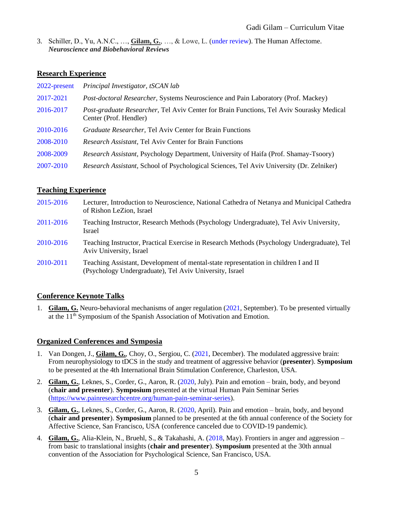3. Schiller, D., Yu, A.N.C., …, **Gilam, G.**, …, & Lowe, L. (under review). The Human Affectome. *Neuroscience and Biobehavioral Reviews*

### **Research Experience**

| 2022-present | Principal Investigator, tSCAN lab                                                                                  |
|--------------|--------------------------------------------------------------------------------------------------------------------|
| 2017-2021    | Post-doctoral Researcher, Systems Neuroscience and Pain Laboratory (Prof. Mackey)                                  |
| 2016-2017    | Post-graduate Researcher, Tel Aviv Center for Brain Functions, Tel Aviv Sourasky Medical<br>Center (Prof. Hendler) |
| 2010-2016    | Graduate Researcher, Tel Aviv Center for Brain Functions                                                           |
| 2008-2010    | <b>Research Assistant, Tel Aviv Center for Brain Functions</b>                                                     |
| 2008-2009    | Research Assistant, Psychology Department, University of Haifa (Prof. Shamay-Tsoory)                               |
| 2007-2010    | Research Assistant, School of Psychological Sciences, Tel Aviv University (Dr. Zelniker)                           |

### **Teaching Experience**

| 2015-2016 | Lecturer, Introduction to Neuroscience, National Cathedra of Netanya and Municipal Cathedra<br>of Rishon LeZion, Israel                        |
|-----------|------------------------------------------------------------------------------------------------------------------------------------------------|
| 2011-2016 | Teaching Instructor, Research Methods (Psychology Undergraduate), Tel Aviv University,<br><b>Israel</b>                                        |
| 2010-2016 | Teaching Instructor, Practical Exercise in Research Methods (Psychology Undergraduate), Tel<br>Aviv University, Israel                         |
| 2010-2011 | Teaching Assistant, Development of mental-state representation in children I and II<br>(Psychology Undergraduate), Tel Aviv University, Israel |

# **Conference Keynote Talks**

1. **Gilam, G.** Neuro-behavioral mechanisms of anger regulation (2021, September). To be presented virtually at the  $11<sup>th</sup>$  Symposium of the Spanish Association of Motivation and Emotion.

# **Organized Conferences and Symposia**

- 1. Van Dongen, J., **Gilam, G.**, Choy, O., Sergiou, C. (2021, December). The modulated aggressive brain: From neurophysiology to tDCS in the study and treatment of aggressive behavior (**presenter**). **Symposium** to be presented at the 4th International Brain Stimulation Conference, Charleston, USA.
- 2. **Gilam, G.**, Leknes, S., Corder, G., Aaron, R. (2020, July). Pain and emotion brain, body, and beyond (**chair and presenter**). **Symposium** presented at the virtual Human Pain Seminar Series [\(https://www.painresearchcentre.org/human-pain-seminar-series\)](https://www.painresearchcentre.org/human-pain-seminar-series).
- 3. **Gilam, G.**, Leknes, S., Corder, G., Aaron, R. (2020, April). Pain and emotion brain, body, and beyond (**chair and presenter**). **Symposium** planned to be presented at the 6th annual conference of the Society for Affective Science, San Francisco, USA (conference canceled due to COVID-19 pandemic).
- 4. **Gilam, G.**, Alia-Klein, N., Bruehl, S., & Takahashi, A. (2018, May). Frontiers in anger and aggression from basic to translational insights (**chair and presenter**). **Symposium** presented at the 30th annual convention of the Association for Psychological Science, San Francisco, USA.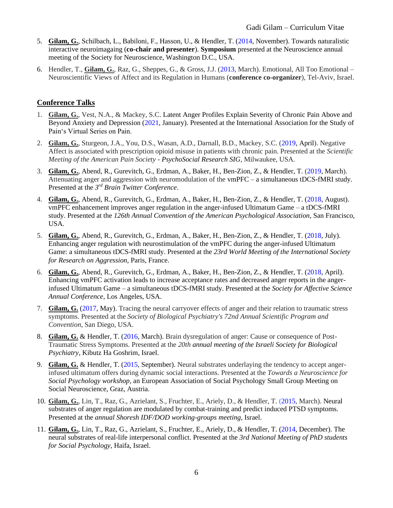- 5. **Gilam, G.**, Schilbach, L., Babiloni, F., Hasson, U., & Hendler, T. (2014, November). Towards naturalistic interactive neuroimagaing (**co-chair and presenter**). **Symposium** presented at the Neuroscience annual meeting of the Society for Neuroscience, Washington D.C., USA.
- 6. Hendler, T., **Gilam, G.**, Raz, G., Sheppes, G., & Gross, J.J. (2013, March). Emotional, All Too Emotional Neuroscientific Views of Affect and its Regulation in Humans (**conference co-organizer**), Tel-Aviv, Israel.

# **Conference Talks**

- 1. **Gilam, G.**, Vest, N.A., & Mackey, S.C. Latent Anger Profiles Explain Severity of Chronic Pain Above and Beyond Anxiety and Depression (2021, January). Presented at the International Association for the Study of Pain's Virtual Series on Pain.
- 2. **Gilam, G.**, Sturgeon, J.A., You, D.S., Wasan, A.D., Darnall, B.D., Mackey, S.C. (2019, April). Negative Affect is associated with prescription opioid misuse in patients with chronic pain. Presented at the *Scientific Meeting of the American Pain Society - PsychoSocial Research SIG*, Milwaukee, USA.
- 3. **Gilam, G.**, Abend, R., Gurevitch, G., Erdman, A., Baker, H., Ben-Zion, Z., & Hendler, T. (2019, March). Attenuating anger and aggression with neuromodulation of the vmPFC – a simultaneous tDCS-fMRI study. Presented at the *3 rd Brain Twitter Conference*.
- 4. **Gilam, G.**, Abend, R., Gurevitch, G., Erdman, A., Baker, H., Ben-Zion, Z., & Hendler, T. (2018, August). vmPFC enhancement improves anger regulation in the anger-infused Ultimatum Game – a tDCS-fMRI study. Presented at the *126th Annual Convention of the American Psychological Association*, San Francisco, USA.
- 5. **Gilam, G.**, Abend, R., Gurevitch, G., Erdman, A., Baker, H., Ben-Zion, Z., & Hendler, T. (2018, July). Enhancing anger regulation with neurostimulation of the vmPFC during the anger-infused Ultimatum Game: a simultaneous tDCS-fMRI study. Presented at the *23rd World Meeting of the International Society for Research on Aggression*, Paris, France.
- 6. **Gilam, G.**, Abend, R., Gurevitch, G., Erdman, A., Baker, H., Ben-Zion, Z., & Hendler, T. (2018, April). Enhancing vmPFC activation leads to increase acceptance rates and decreased anger reports in the angerinfused Ultimatum Game – a simultaneous tDCS-fMRI study. Presented at the *Society for Affective Science Annual Conference*, Los Angeles, USA.
- 7. **Gilam, G.** (2017, May). Tracing the neural carryover effects of anger and their relation to traumatic stress symptoms. Presented at the *Society of Biological Psychiatry's 72nd Annual Scientific Program and Convention*, San Diego, USA.
- 8. **Gilam, G.** & Hendler, T. (2016, March). Brain dysregulation of anger: Cause or consequence of Post-Traumatic Stress Symptoms. Presented at the *20th annual meeting of the Israeli Society for Biological Psychiatry*, Kibutz Ha Goshrim, Israel.
- 9. **Gilam, G.** & Hendler, T. (2015, September). Neural substrates underlaying the tendency to accept angerinfused ultimatum offers during dynamic social interactions. Presented at the *Towards a Neuroscience for Social Psychology workshop*, an European Association of Social Psychology Small Group Meeting on Social Neuroscience, Graz, Austria.
- 10. **Gilam, G.**, Lin, T., Raz, G., Azrielant, S., Fruchter, E., Ariely, D., & Hendler, T. (2015, March). Neural substrates of anger regulation are modulated by combat-training and predict induced PTSD symptoms. Presented at the *annual Shoresh IDF/DOD working-groups meeting*, Israel.
- 11. **Gilam, G.**, Lin, T., Raz, G., Azrielant, S., Fruchter, E., Ariely, D., & Hendler, T. (2014, December). The neural substrates of real-life interpersonal conflict. Presented at the *3rd National Meeting of PhD students for Social Psychology*, Haifa, Israel.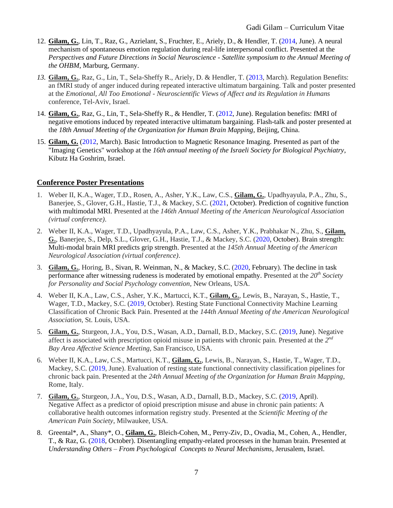- 12. **Gilam, G.**, Lin, T., Raz, G., Azrielant, S., Fruchter, E., Ariely, D., & Hendler, T. (2014, June). A neural mechanism of spontaneous emotion regulation during real-life interpersonal conflict. Presented at the *Perspectives and Future Directions in Social Neuroscience - Satellite symposium to the Annual Meeting of the OHBM*, Marburg, Germany.
- *13.* **Gilam, G.**, Raz, G., Lin, T., Sela-Sheffy R., Ariely, D. & Hendler, T. (2013, March). Regulation Benefits: an fMRI study of anger induced during repeated interactive ultimatum bargaining. Talk and poster presented at the *Emotional, All Too Emotional - Neuroscientific Views of Affect and its Regulation in Humans* conference, Tel-Aviv, Israel.
- 14. **Gilam, G.**, Raz, G., Lin, T., Sela-Sheffy R., & Hendler, T. (2012, June). Regulation benefits: fMRI of negative emotions induced by repeated interactive ultimatum bargaining. Flash-talk and poster presented at the *18th Annual Meeting of the Organization for Human Brain Mapping*, Beijing, China.
- 15. **Gilam, G.** (2012, March). Basic Introduction to Magnetic Resonance Imaging. Presented as part of the "Imaging Genetics" workshop at the *16th annual meeting of the Israeli Society for Biological Psychiatry*, Kibutz Ha Goshrim, Israel.

## **Conference Poster Presentations**

- 1. Weber II, K.A., Wager, T.D., Rosen, A., Asher, Y.K., Law, C.S., **Gilam, G.**, Upadhyayula, P.A., Zhu, S., Banerjee, S., Glover, G.H., Hastie, T.J., & Mackey, S.C. (2021, October). Prediction of cognitive function with multimodal MRI. Presented at the *146th Annual Meeting of the American Neurological Association (virtual conference)*.
- 2. Weber II, K.A., Wager, T.D., Upadhyayula, P.A., Law, C.S., Asher, Y.K., Prabhakar N., Zhu, S., **Gilam, G.**, Banerjee, S., Delp, S.L., Glover, G.H., Hastie, T.J., & Mackey, S.C. (2020, October). Brain strength: Multi-modal brain MRI predicts grip strength. Presented at the *145th Annual Meeting of the American Neurological Association (virtual conference)*.
- 3. **Gilam, G.**, Horing, B., Sivan, R. Weinman, N., & Mackey, S.C. (2020, February). The decline in task performance after witnessing rudeness is moderated by emotional empathy. Presented at the *20th Society for Personality and Social Psychology convention,* New Orleans, USA.
- 4. Weber II, K.A., Law, C.S., Asher, Y.K., Martucci, K.T., **Gilam, G.**, Lewis, B., Narayan, S., Hastie, T., Wager, T.D., Mackey, S.C. (2019, October). Resting State Functional Connectivity Machine Learning Classification of Chronic Back Pain. Presented at the *144th Annual Meeting of the American Neurological Association,* St. Louis, USA.
- 5. **Gilam, G.**, Sturgeon, J.A., You, D.S., Wasan, A.D., Darnall, B.D., Mackey, S.C. (2019, June). Negative affect is associated with prescription opioid misuse in patients with chronic pain. Presented at the *2 nd Bay Area Affective Science Meeting*, San Francisco, USA.
- 6. Weber II, K.A., Law, C.S., Martucci, K.T., **Gilam, G.**, Lewis, B., Narayan, S., Hastie, T., Wager, T.D., Mackey, S.C. (2019, June). Evaluation of resting state functional connectivity classification pipelines for chronic back pain. Presented at the *24th Annual Meeting of the Organization for Human Brain Mapping*, Rome, Italy.
- 7. **Gilam, G.**, Sturgeon, J.A., You, D.S., Wasan, A.D., Darnall, B.D., Mackey, S.C. (2019, April). Negative Affect as a predictor of opioid prescription misuse and abuse in chronic pain patients: A collaborative health outcomes information registry study. Presented at the *Scientific Meeting of the American Pain Society*, Milwaukee, USA.
- 8. Greental\*, A., Shany\*, O., **Gilam, G.**, Bleich-Cohen, M., Perry-Ziv, D., Ovadia, M., Cohen, A., Hendler, T., & Raz, G. (2018, October). Disentangling empathy-related processes in the human brain. Presented at *Understanding Others – From Psychological Concepts to Neural Mechanisms*, Jerusalem, Israel.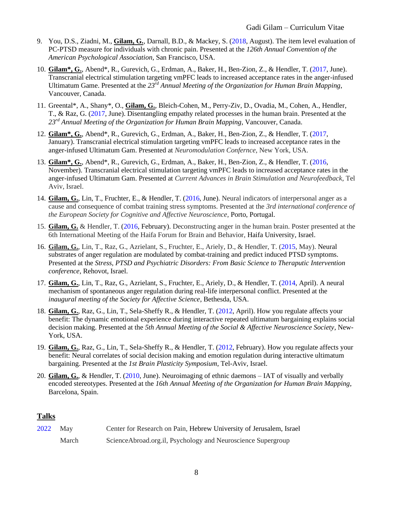- 9. You, D.S., Ziadni, M., **Gilam, G.**, Darnall, B.D., & Mackey, S. (2018, August). The item level evaluation of PC-PTSD measure for individuals with chronic pain. Presented at the *126th Annual Convention of the American Psychological Association*, San Francisco, USA.
- 10. **Gilam\*, G.**, Abend\*, R., Gurevich, G., Erdman, A., Baker, H., Ben-Zion, Z., & Hendler, T. (2017, June). Transcranial electrical stimulation targeting vmPFC leads to increased acceptance rates in the anger-infused Ultimatum Game. Presented at the *23rd Annual Meeting of the Organization for Human Brain Mapping*, Vancouver, Canada.
- 11. Greental\*, A., Shany\*, O., **Gilam, G.**, Bleich-Cohen, M., Perry-Ziv, D., Ovadia, M., Cohen, A., Hendler, T., & Raz, G. (2017, June). Disentangling empathy related processes in the human brain. Presented at the *23rd Annual Meeting of the Organization for Human Brain Mapping*, Vancouver, Canada.
- 12. **Gilam\*, G.**, Abend\*, R., Gurevich, G., Erdman, A., Baker, H., Ben-Zion, Z., & Hendler, T. (2017, January). Transcranial electrical stimulation targeting vmPFC leads to increased acceptance rates in the anger-infused Ultimatum Gam. Presented at *Neuromodulation Confernce*, New York, USA.
- 13. **Gilam\*, G.**, Abend\*, R., Gurevich, G., Erdman, A., Baker, H., Ben-Zion, Z., & Hendler, T. (2016, November). Transcranial electrical stimulation targeting vmPFC leads to increased acceptance rates in the anger-infused Ultimatum Gam. Presented at *Current Advances in Brain Stimulation and Neurofeedback*, Tel Aviv, Israel.
- 14. **Gilam, G.**, Lin, T., Fruchter, E., & Hendler, T. (2016, June). Neural indicators of interpersonal anger as a cause and consequence of combat training stress symptoms. Presented at the *3rd international conference of the European Society for Cognitive and Affective Neuroscience*, Porto, Portugal.
- 15. **Gilam, G.** & Hendler, T. (2016, February). Deconstructing anger in the human brain. Poster presented at the 6th International Meeting of the Haifa Forum for Brain and Behavior, Haifa University, Israel.
- 16. **Gilam, G.**, Lin, T., Raz, G., Azrielant, S., Fruchter, E., Ariely, D., & Hendler, T. (2015, May). Neural substrates of anger regulation are modulated by combat-training and predict induced PTSD symptoms. Presented at the *Stress, PTSD and Psychiatric Disorders: From Basic Science to Theraputic Intervention conference*, Rehovot, Israel.
- 17. **Gilam, G.**, Lin, T., Raz, G., Azrielant, S., Fruchter, E., Ariely, D., & Hendler, T. (2014, April). A neural mechanism of spontaneous anger regulation during real-life interpersonal conflict. Presented at the *inaugural meeting of the Society for Affective Science*, Bethesda, USA.
- 18. **Gilam, G.**, Raz, G., Lin, T., Sela-Sheffy R., & Hendler, T. (2012, April). How you regulate affects your benefit: The dynamic emotional experience during interactive repeated ultimatum bargaining explains social decision making. Presented at the *5th Annual Meeting of the Social & Affective Neuroscience Society*, New-York, USA.
- 19. **Gilam, G.**, Raz, G., Lin, T., Sela-Sheffy R., & Hendler, T. (2012, February). How you regulate affects your benefit: Neural correlates of social decision making and emotion regulation during interactive ultimatum bargaining. Presented at the *1st Brain Plasticity Symposium*, Tel-Aviv, Israel.
- 20. **Gilam, G.**, & Hendler, T. (2010, June). Neuroimaging of ethnic daemons IAT of visually and verbally encoded stereotypes. Presented at the *16th Annual Meeting of the Organization for Human Brain Mapping*, Barcelona, Spain.

# **Talks**

| 2022 May |       | Center for Research on Pain, Hebrew University of Jerusalem, Israel |
|----------|-------|---------------------------------------------------------------------|
|          | March | ScienceAbroad.org.il, Psychology and Neuroscience Supergroup        |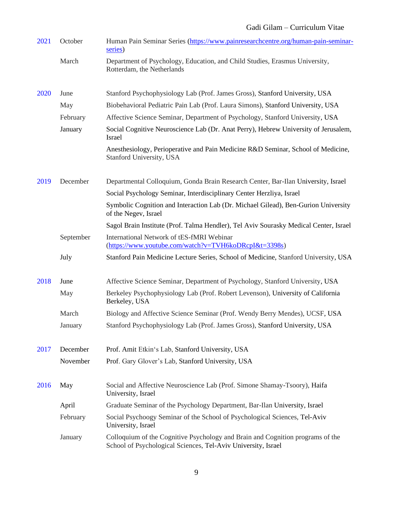| 2021 | October   | Human Pain Seminar Series (https://www.painresearchcentre.org/human-pain-seminar-<br>series)                                                    |
|------|-----------|-------------------------------------------------------------------------------------------------------------------------------------------------|
|      | March     | Department of Psychology, Education, and Child Studies, Erasmus University,<br>Rotterdam, the Netherlands                                       |
| 2020 | June      | Stanford Psychophysiology Lab (Prof. James Gross), Stanford University, USA                                                                     |
|      | May       | Biobehavioral Pediatric Pain Lab (Prof. Laura Simons), Stanford University, USA                                                                 |
|      | February  | Affective Science Seminar, Department of Psychology, Stanford University, USA                                                                   |
|      | January   | Social Cognitive Neuroscience Lab (Dr. Anat Perry), Hebrew University of Jerusalem,<br>Israel                                                   |
|      |           | Anesthesiology, Perioperative and Pain Medicine R&D Seminar, School of Medicine,<br>Stanford University, USA                                    |
| 2019 | December  | Departmental Colloquium, Gonda Brain Research Center, Bar-Ilan University, Israel                                                               |
|      |           | Social Psychology Seminar, Interdisciplinary Center Herzliya, Israel                                                                            |
|      |           | Symbolic Cognition and Interaction Lab (Dr. Michael Gilead), Ben-Gurion University<br>of the Negev, Israel                                      |
|      |           | Sagol Brain Institute (Prof. Talma Hendler), Tel Aviv Sourasky Medical Center, Israel                                                           |
|      | September | International Network of tES-fMRI Webinar<br>(https://www.youtube.com/watch?v=TVH6koDRcpI&t=3398s)                                              |
|      | July      | Stanford Pain Medicine Lecture Series, School of Medicine, Stanford University, USA                                                             |
| 2018 | June      | Affective Science Seminar, Department of Psychology, Stanford University, USA                                                                   |
|      | May       | Berkeley Psychophysiology Lab (Prof. Robert Levenson), University of California<br>Berkeley, USA                                                |
|      | March     | Biology and Affective Science Seminar (Prof. Wendy Berry Mendes), UCSF, USA                                                                     |
|      | January   | Stanford Psychophysiology Lab (Prof. James Gross), Stanford University, USA                                                                     |
| 2017 | December  | Prof. Amit Etkin's Lab, Stanford University, USA                                                                                                |
|      | November  | Prof. Gary Glover's Lab, Stanford University, USA                                                                                               |
| 2016 | May       | Social and Affective Neuroscience Lab (Prof. Simone Shamay-Tsoory), Haifa<br>University, Israel                                                 |
|      | April     | Graduate Seminar of the Psychology Department, Bar-Ilan University, Israel                                                                      |
|      | February  | Social Psychoogy Seminar of the School of Psychological Sciences, Tel-Aviv<br>University, Israel                                                |
|      | January   | Colloquium of the Cognitive Psychology and Brain and Cognition programs of the<br>School of Psychological Sciences, Tel-Aviv University, Israel |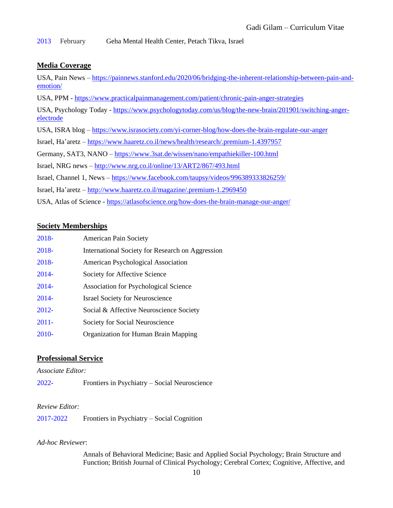2013 February Geha Mental Health Center, Petach Tikva, Israel

### **Media Coverage**

USA, Pain News – [https://painnews.stanford.edu/2020/06/bridging-the-inherent-relationship-between-pain-and](https://painnews.stanford.edu/2020/06/bridging-the-inherent-relationship-between-pain-and-emotion/)[emotion/](https://painnews.stanford.edu/2020/06/bridging-the-inherent-relationship-between-pain-and-emotion/)

USA, PPM - <https://www.practicalpainmanagement.com/patient/chronic-pain-anger-strategies>

USA, Psychology Today - [https://www.psychologytoday.com/us/blog/the-new-brain/201901/switching-anger](https://www.psychologytoday.com/us/blog/the-new-brain/201901/switching-anger-electrode)[electrode](https://www.psychologytoday.com/us/blog/the-new-brain/201901/switching-anger-electrode)

USA, ISRA blog – <https://www.israsociety.com/yi-corner-blog/how-does-the-brain-regulate-our-anger>

Israel, Ha'aretz – <https://www.haaretz.co.il/news/health/research/.premium-1.4397957>

Germany, SAT3, NANO – <https://www.3sat.de/wissen/nano/empathiekiller-100.html>

Israel, NRG news – <http://www.nrg.co.il/online/13/ART2/867/493.html>

Israel, Channel 1, News – <https://www.facebook.com/taupsy/videos/996389333826259/>

Israel, Ha'aretz – <http://www.haaretz.co.il/magazine/.premium-1.2969450>

USA, Atlas of Science - <https://atlasofscience.org/how-does-the-brain-manage-our-anger/>

### **Society Memberships**

| 2018-    | <b>American Pain Society</b>                     |
|----------|--------------------------------------------------|
| 2018-    | International Society for Research on Aggression |
| 2018-    | American Psychological Association               |
| $2014 -$ | Society for Affective Science                    |
| $2014 -$ | <b>Association for Psychological Science</b>     |
| $2014 -$ | <b>Israel Society for Neuroscience</b>           |
| $2012 -$ | Social & Affective Neuroscience Society          |
| $2011 -$ | Society for Social Neuroscience                  |
| $2010-$  | Organization for Human Brain Mapping             |

#### **Professional Service**

*Associate Editor:*

2022- Frontiers in Psychiatry – Social Neuroscience

#### *Review Editor:*

2017-2022 Frontiers in Psychiatry – Social Cognition

#### *Ad-hoc Reviewer*:

Annals of Behavioral Medicine; Basic and Applied Social Psychology; Brain Structure and Function; British Journal of Clinical Psychology; Cerebral Cortex; Cognitive, Affective, and